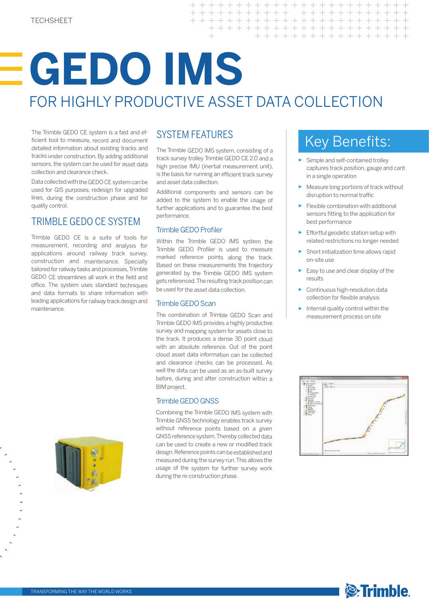# **GEDO IMS** FOR HIGHLY PRODUCTIVE ASSET DATA COLLECTION

 $\ddot{}$  $+$ 

 $\overline{+}$  $\overline{+}$  $\! + \!$ 

 $\!$ 

The Trimble GEDO CE system is a fast and efficient tool to measure, record and document detailed information about existing tracks and tracks under construction. By adding additional sensors, the system can be used for asset data collection and clearance check.

Data collected with the GEDO CE system can be used for GIS purposes, redesign for upgraded lines, during the construction phase and for quality control.

## TRIMBLE GEDO CE SYSTEM

Trimble GEDO CE is a suite of tools for measurement, recording and analysis for applications around railway track survey, construction and maintenance. Specially tailored for railway tasks and processes, Trimble GEDO CE streamlines all work in the field and office. The system uses standard techniques and data formats to share information with leading applications for railway track design and maintenance.



### SYSTEM FEATURES

The Trimble GEDO IMS system, consisting of a track survey trolley Trimble GEDO CE 2.0 and a high precise IMU (inertial measurement unit), is the basis for running an efficient track survey and asset data collection.

Additional components and sensors can be added to the system to enable the usage of further applications and to guarantee the best performance.

#### Trimble GEDO Profiler

Within the Trimble GEDO IMS system the Trimble GEDO Profiler is used to measure marked reference points along the track. Based on these measurements the trajectory generated by the Trimble GEDO IMS system gets referenced. The resulting track position can be used for the asset data collection.

#### Trimble GEDO Scan

The combination of Trimble GEDO Scan and Trimble GEDO IMS provides a highly productive survey and mapping system for assets close to the track. It produces a dense 3D point cloud with an absolute reference. Out of the point cloud asset data information can be collected and clearance checks can be processed. As well the data can be used as an as-built survey before, during and after construction within a BIM project.

#### Trimble GEDO GNSS

Combining the Trimble GEDO IMS system with Trimble GNSS technology enables track survey without reference points based on a given GNSS reference system. Thereby collected data can be used to create a new or modified track design. Reference points can be established and measured during the survey run. This allows the usage of the system for further survey work during the re-construction phase.

# Key Benefits:

+ + + + + + + + + +

+ + + + + + + + + + + + + + + + + +

 $\begin{array}{ccccccc} + & + & + & + \end{array}$ 

 $\begin{array}{cccccccccc} + & & + & & \end{array}$ 

+ + + + + + + + + + + + + + + +

- ► Simple and self-contained trolley captures track position, gauge and cant in a single operation
- ► Measure long portions of track without disruption to normal traffic
- ► Flexible combination with additional sensors fitting to the application for best performance
- $\blacktriangleright$  Effortful geodetic station setup with related restrictions no longer needed
- Short initialization time allows rapid on-site use
- ► Easy to use and clear display of the results
- ► Continuous high-resolution data collection for flexible analysis
- ► Internal quality control within the measurement process on site